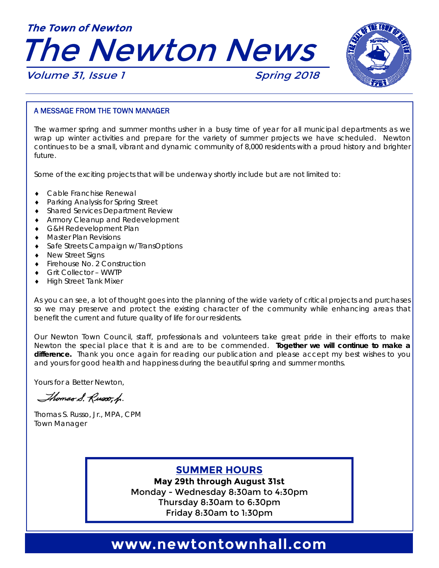



Volume 31, Issue 1 Spring 2018

#### A MESSAGE FROM THE TOWN MANAGER

The warmer spring and summer months usher in a busy time of year for all municipal departments as we wrap up winter activities and prepare for the variety of summer projects we have scheduled. Newton continues to be a small, vibrant and dynamic community of 8,000 residents with a proud history and brighter future.

Some of the exciting projects that will be underway shortly include but are not limited to:

- Cable Franchise Renewal
- ◆ Parking Analysis for Spring Street
- ◆ Shared Services Department Review
- ◆ Armory Cleanup and Redevelopment
- G&H Redevelopment Plan
- Master Plan Revisions
- ◆ Safe Streets Campaign w/TransOptions
- ◆ New Street Signs
- ◆ Firehouse No. 2 Construction
- Grit Collector WWTP
- High Street Tank Mixer

As you can see, a lot of thought goes into the planning of the wide variety of critical projects and purchases so we may preserve and protect the existing character of the community while enhancing areas that benefit the current and future quality of life for our residents.

Our Newton Town Council, staff, professionals and volunteers take great pride in their efforts to make Newton the special place that it is and are to be commended. **Together we will continue to make a difference.** Thank you once again for reading our publication and please accept my best wishes to you and yours for good health and happiness during the beautiful spring and summer months.

Yours for a Better Newton,

Thomas S. Russo, h.

Thomas S. Russo, Jr., MPA, CPM Town Manager

### **SUMMER HOURS**

**May 29th through August 31st**  Monday - Wednesday 8:30am to 4:30pm Thursday 8:30am to 6:30pm Friday 8:30am to 1:30pm

### www.newtontownhall.com **www.newtontownhall.com**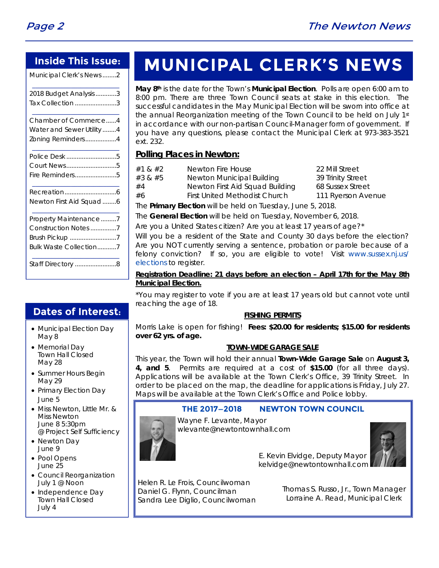### **Inside This Issue:**

Municipal Clerk's News ........ 2

| 2018 Budget Analysis 3    |
|---------------------------|
| Tax Collection 3          |
| Chamber of Commerce4      |
| Water and Sewer Utility 4 |
| Zoning Reminders4         |
| Police Desk 5             |
| Court News5               |
| Fire Reminders5           |
|                           |
| Newton First Aid Squad 6  |
| Property Maintenance7     |
| Construction Notes 7      |
| Brush Pickup 7            |
| Bulk Waste Collection7    |
|                           |

# **MUNICIPAL CLERK'S NEWS**

**May 8th** is the date for the Town's **Municipal Election**. Polls are open 6:00 am to 8:00 pm. There are three Town Council seats at stake in this election. The successful candidates in the May Municipal Election will be sworn into office at the annual Reorganization meeting of the Town Council to be held on July 1st in accordance with our non-partisan Council-Manager form of government. If you have any questions, please contact the Municipal Clerk at 973-383-3521 ext. 232.

### **Polling Places in Newton:**

- #1 & #2 Newton Fire House 22 Mill Street
- #3 & #5 Newton Municipal Building 39 Trinity Street #4 Newton First Aid Squad Building 68 Sussex Street #6 First United Methodist Church 111 Ryerson Avenue

The **Primary Election** will be held on Tuesday, June 5, 2018.

The **General Election** will be held on Tuesday, November 6, 2018.

Are you a United States citizen? Are you at least 17 years of age?\*

Will you be a resident of the State and County 30 days before the election? Are you NOT currently serving a sentence, probation or parole because of a felony conviction? If so, you are eligible to vote! Visit www.sussex.nj.us/ elections to register.

#### **Registration Deadline: 21 days before an election – April 17th for the May 8th Municipal Election.**

\*You may register to vote if you are at least 17 years old but cannot vote until reaching the age of 18.

### **FISHING PERMITS**

Morris Lake is open for fishing! **Fees: \$20.00 for residents; \$15.00 for residents over 62 yrs. of age.**

### **TOWN-WIDE GARAGE SALE**

This year, the Town will hold their annual **Town-Wide Garage Sale** on **August 3, 4, and 5**. Permits are required at a cost of **\$15.00** (for all three days). Applications will be available at the Town Clerk's Office, 39 Trinity Street. In order to be placed on the map, the deadline for applications is Friday, July 27. Maps will be available at the Town Clerk's Office and Police lobby.

### **THE 2017—2018 NEWTON TOWN COUNCIL**



Wayne F. Levante, Mayor wlevante@newtontownhall.com



 E. Kevin Elvidge, Deputy Mayor kelvidge@newtontownhall.com

Helen R. Le Frois, Councilwoman Daniel G. Flynn, Councilman Sandra Lee Diglio, Councilwoman

Thomas S. Russo, Jr., Town Manager Lorraine A. Read, Municipal Clerk

### **Dates of Interest:**

- Municipal Election Day May 8
- Memorial Day Town Hall Closed May 28
- Summer Hours Begin May 29
- Primary Election Day June 5
- Miss Newton, Little Mr. & Miss Newton June 8 5:30pm @ Project Self Sufficiency
- Newton Day June 9
- Pool Opens June 25
- Council Reorganization July 1 @ Noon
- Independence Day Town Hall Closed July 4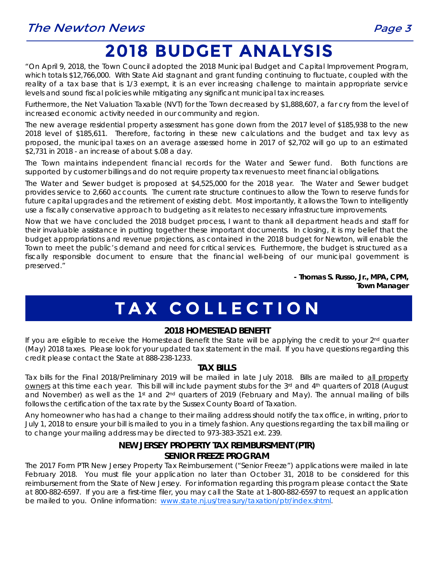# **2018 BUDGET ANALYSIS**

"On April 9, 2018, the Town Council adopted the 2018 Municipal Budget and Capital Improvement Program, which totals \$12,766,000. With State Aid stagnant and grant funding continuing to fluctuate, coupled with the reality of a tax base that is 1/3 exempt, it is an ever increasing challenge to maintain appropriate service levels and sound fiscal policies while mitigating any significant municipal tax increases.

Furthermore, the Net Valuation Taxable (NVT) for the Town decreased by \$1,888,607, a far cry from the level of increased economic activity needed in our community and region.

The new average residential property assessment has gone down from the 2017 level of \$185,938 to the new 2018 level of \$185,611. Therefore, factoring in these new calculations and the budget and tax levy as proposed, the municipal taxes on an average assessed home in 2017 of \$2,702 will go up to an estimated \$2,731 in 2018 - an increase of about \$.08 a day.

The Town maintains independent financial records for the Water and Sewer fund. Both functions are supported by customer billings and do not require property tax revenues to meet financial obligations.

The Water and Sewer budget is proposed at \$4,525,000 for the 2018 year. The Water and Sewer budget provides service to 2,660 accounts. The current rate structure continues to allow the Town to reserve funds for future capital upgrades and the retirement of existing debt. Most importantly, it allows the Town to intelligently use a fiscally conservative approach to budgeting as it relates to necessary infrastructure improvements.

Now that we have concluded the 2018 budget process, I want to thank all department heads and staff for their invaluable assistance in putting together these important documents. In closing, it is my belief that the budget appropriations and revenue projections, as contained in the 2018 budget for Newton, will enable the Town to meet the public's demand and need for critical services. Furthermore, the budget is structured as a fiscally responsible document to ensure that the financial well-being of our municipal government is preserved."

> *- Thomas S. Russo, Jr., MPA, CPM, Town Manager*

# **TAX COLLECTION**

### **2018 HOMESTEAD BENEFIT**

If you are eligible to receive the Homestead Benefit the State will be applying the credit to your 2<sup>nd</sup> quarter (May) 2018 taxes. Please look for your updated tax statement in the mail. If you have questions regarding this credit please contact the State at 888-238-1233.

### **TAX BILLS**

Tax bills for the Final 2018/Preliminary 2019 will be mailed in late July 2018. Bills are mailed to all property owners at this time each year. This bill will include payment stubs for the 3rd and 4th quarters of 2018 (August and November) as well as the 1<sup>st</sup> and 2<sup>nd</sup> quarters of 2019 (February and May). The annual mailing of bills follows the certification of the tax rate by the Sussex County Board of Taxation.

Any homeowner who has had a change to their mailing address should notify the tax office, in writing, prior to July 1, 2018 to ensure your bill is mailed to you in a timely fashion. Any questions regarding the tax bill mailing or to change your mailing address may be directed to 973-383-3521 ext. 239.

### **NEW JERSEY PROPERTY TAX REIMBURSMENT (PTR) SENIOR FREEZE PROGRAM**

The 2017 Form PTR New Jersey Property Tax Reimbursement ("Senior Freeze") applications were mailed in late February 2018. You must file your application no later than October 31, 2018 to be considered for this reimbursement from the State of New Jersey. For information regarding this program please contact the State at 800-882-6597. If you are a first-time filer, you may call the State at 1-800-882-6597 to request an application be mailed to you. Online information: www.state.nj.us/treasury/taxation/ptr/index.shtml.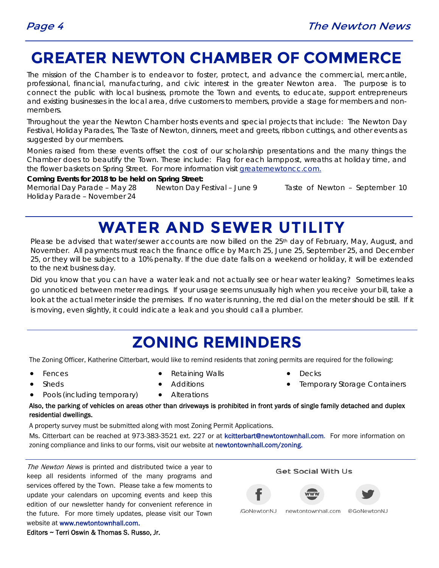## **GREATER NEWTON CHAMBER OF COMMERCE**

The mission of the Chamber is to endeavor to foster, protect, and advance the commercial, mercantile, professional, financial, manufacturing, and civic interest in the greater Newton area. The purpose is to connect the public with local business, promote the Town and events, to educate, support entrepreneurs and existing businesses in the local area, drive customers to members, provide a stage for members and nonmembers.

Throughout the year the Newton Chamber hosts events and special projects that include: The Newton Day Festival, Holiday Parades, The Taste of Newton, dinners, meet and greets, ribbon cuttings, and other events as suggested by our members.

Monies raised from these events offset the cost of our scholarship presentations and the many things the Chamber does to beautify the Town. These include: Flag for each lamppost, wreaths at holiday time, and the flower baskets on Spring Street. For more information visit greaternewtoncc.com.

**Coming Events for 2018 to be held on Spring Street:** 

Memorial Day Parade – May 28 Newton Day Festival – June 9 Taste of Newton – September 10 Holiday Parade – November 24

# **WATER AND SEWER UTILITY**

Please be advised that water/sewer accounts are now billed on the 25<sup>th</sup> day of February, May, August, and November. All payments must reach the finance office by March 25, June 25, September 25, and December 25, or they will be subject to a 10% penalty. If the due date falls on a weekend or holiday, it will be extended to the next business day.

Did you know that you can have a water leak and not actually see or hear water leaking? Sometimes leaks go unnoticed between meter readings. If your usage seems unusually high when you receive your bill, take a look at the actual meter inside the premises. If no water is running, the red dial on the meter should be still. If it is moving, even slightly, it could indicate a leak and you should call a plumber.

## **ZONING REMINDERS**

The Zoning Officer, Katherine Citterbart, would like to remind residents that zoning permits are required for the following:

- Fences
- Sheds

Retaining Walls

- Decks
- Temporary Storage Containers
- Pools (including temporary)
- Additions
- Alterations

Also, the parking of vehicles on areas other than driveways is prohibited in front yards of single family detached and duplex residential dwellings.

A property survey must be submitted along with most Zoning Permit Applications.

Ms. Citterbart can be reached at 973-383-3521 ext. 227 or at kcitterbart@newtontownhall.com. For more information on zoning compliance and links to our forms, visit our website at newtontownhall.com/zoning.

The Newton News is printed and distributed twice a year to keep all residents informed of the many programs and services offered by the Town. Please take a few moments to update your calendars on upcoming events and keep this edition of our newsletter handy for convenient reference in the future. For more timely updates, please visit our Town website at www.newtontownhall.com.

Editors ~ Terri Oswin & Thomas S. Russo, Jr.

**Get Social With Us** 



newtontownhall.com /GoNewtonNJ

@GoNewtonNJ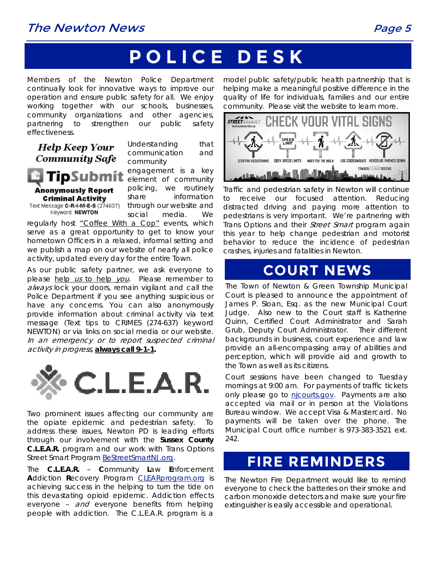### The Newton News **Page 5**

# **POLICE DESK**

Members of the Newton Police Department continually look for innovative ways to improve our operation and ensure public safety for all. We enjoy working together with our schools, businesses, community organizations and other agencies, partnering to strengthen our public safety effectiveness.

### Help Keep Your **Community Safe**

Understanding that communication and community

engagement is a key **ipSubmit** element of community policing, we routinely Anonymously Report share information **Criminal Activity** Text Message C-R-I-M-E-S (274637)

through our website and Keyword: NEWTON social media. We

regularly host "Coffee With a Cop" events, which serve as a great opportunity to get to know your hometown Officers in a relaxed, informal setting and we publish a map on our website of nearly all police activity, updated every day for the entire Town.

As our public safety partner, we ask everyone to please help us to help you. Please remember to always lock your doors, remain vigilant and call the Police Department if you see anything suspicious or have any concerns. You can also anonymously provide information about criminal activity via text message (Text tips to CRIMES (274-637) keyword NEWTON) or via links on social media or our website. In an emergency or to report suspected criminal activity in progress, *always call 9-1-1.* 



Two prominent issues affecting our community are the opiate epidemic and pedestrian safety. To address these issues, Newton PD is leading efforts through our involvement with the **Sussex County C.L.E.A.R.** program and our work with Trans Options Street Smart Program BeStreetSmartNJ.org.

The **C.L.E.A.R.** – **C**ommunity **L**aw **E**nforcement **A**ddiction **R**ecovery Program CLEARprogram.org is achieving success in the helping to turn the tide on this devastating opioid epidemic. Addiction effects everyone - and everyone benefits from helping people with addiction. The C.L.E.A.R. program is a

model public safety/public health partnership that is helping make a meaningful positive difference in the quality of life for individuals, families and our entire community. Please visit the website to learn more.



Traffic and pedestrian safety in Newton will continue to receive our focused attention. Reducing distracted driving and paying more attention to pedestrians is very important. We're partnering with Trans Options and their *Street Smart* program again this year to help change pedestrian and motorist behavior to reduce the incidence of pedestrian crashes, injuries and fatalities in Newton.

### **COURT NEWS**

 Court is pleased to announce the appointment of The Town of Newton & Green Township Municipal James P. Sloan, Esq. as the new Municipal Court Judge. Also new to the Court staff is Katherine Quinn, Certified Court Administrator and Sarah Grub, Deputy Court Administrator. Their different backgrounds in business, court experience and law provide an all-encompassing array of abilities and perception, which will provide aid and growth to the Town as well as its citizens.

Court sessions have been changed to Tuesday mornings at 9:00 am. For payments of traffic tickets only please go to nicourts.gov. Payments are also accepted via mail or in person at the Violations Bureau window. We accept Visa & Mastercard. No payments will be taken over the phone. The Municipal Court office number is 973-383-3521 ext. 242.

### **FIRE REMINDERS**

The Newton Fire Department would like to remind everyone to check the batteries on their smoke and carbon monoxide detectors and make sure your fire extinguisher is easily accessible and operational.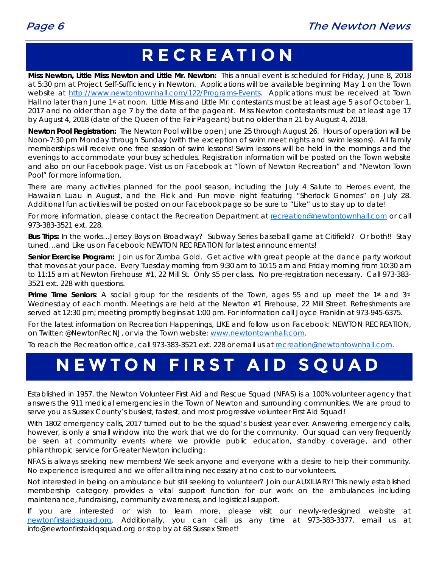# **RECREATION**

**Miss Newton, Little Miss Newton and Little Mr. Newton:** This annual event is scheduled for Friday, June 8, 2018 at 5:30 pm at Project Self-Sufficiency in Newton. Applications will be available beginning May 1 on the Town website at http://www.newtontownhall.com/122/Programs-Events. Applications must be received at Town Hall no later than June 1st at noon. Little Miss and Little Mr. contestants must be at least age 5 as of October 1, 2017 and no older than age 7 by the date of the pageant. Miss Newton contestants must be at least age 17 by August 4, 2018 (date of the Queen of the Fair Pageant) but no older than 21 by August 4, 2018.

**Newton Pool Registration:** The Newton Pool will be open June 25 through August 26. Hours of operation will be Noon-7:30 pm Monday through Sunday (with the exception of swim meet nights and swim lessons). All family memberships will receive one free session of swim lessons! Swim lessons will be held in the mornings and the evenings to accommodate your busy schedules. Registration information will be posted on the Town website and also on our Facebook page. Visit us on Facebook at "Town of Newton Recreation" and "Newton Town Pool" for more information.

There are many activities planned for the pool season, including the July 4 Salute to Heroes event, the Hawaiian Luau in August, and the Flick and Fun movie night featuring "Sherlock Gnomes" on July 28. Additional fun activities will be posted on our Facebook page so be sure to "Like" us to stay up to date!

For more information, please contact the Recreation Department at recreation@newtontownhall.com or call 973-383-3521 ext. 228.

**Bus Trips:** In the works…Jersey Boys on Broadway? Subway Series baseball game at Citifield? Or both!! Stay tuned…and Like us on Facebook: NEWTON RECREATION for latest announcements!

**Senior Exercise Program:** Join us for Zumba Gold. Get active with great people at the dance party workout that moves at your pace. Every Tuesday morning from 9:30 am to 10:15 am and Friday morning from 10:30 am to 11:15 am at Newton Firehouse #1, 22 Mill St. Only \$5 per class. No pre-registration necessary. Call 973-383- 3521 ext. 228 with questions.

Prime Time Seniors: A social group for the residents of the Town, ages 55 and up meet the 1st and 3rd Wednesday of each month. Meetings are held at the Newton #1 Firehouse, 22 Mill Street. Refreshments are served at 12:30 pm; meeting promptly begins at 1:00 pm. For information call Joyce Franklin at 973-945-6375.

For the latest information on Recreation Happenings, LIKE and follow us on Facebook: NEWTON RECREATION, on Twitter: @NewtonRecNJ, or via the Town website: www.newtontownhall.com.

To reach the Recreation office, call 973-383-3521 ext. 228 or email us at recreation@newtontownhall.com.

# **NEWTON FIRST AID SQUAD**

Established in 1957, the Newton Volunteer First Aid and Rescue Squad (NFAS) is a 100% volunteer agency that answers the 911 medical emergencies in the Town of Newton and surrounding communities. We are proud to serve you as Sussex County's busiest, fastest, and most progressive volunteer First Aid Squad!

With 1802 emergency calls, 2017 turned out to be the squad's busiest year ever. Answering emergency calls, however, is only a small window into the work that we do for the community. Our squad can very frequently be seen at community events where we provide public education, standby coverage, and other philanthropic service for Greater Newton including:

NFAS is always seeking new members! We seek anyone and everyone with a desire to help their community. No experience is required and we offer all training necessary at no cost to our volunteers.

Not interested in being on ambulance but still seeking to volunteer? Join our AUXILIARY! This newly established membership category provides a vital support function for our work on the ambulances including maintenance, fundraising, community awareness, and logistical support.

If you are interested or wish to learn more, please visit our newly-redesigned website at newtonfirstaidsquad.org. Additionally, you can call us any time at 973-383-3377, email us at info@newtonfirstaidqsquad.org or stop by at 68 Sussex Street!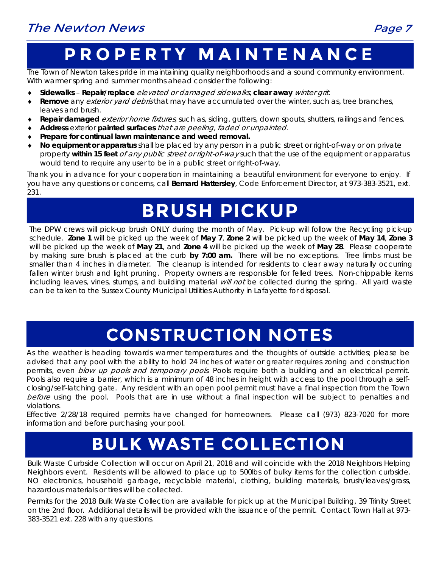# **PROPERTY MAINTENANCE**

The Town of Newton takes pride in maintaining quality neighborhoods and a sound community environment. With warmer spring and summer months ahead consider the following:

- **Sidewalks Repair/replace** elevated or damaged sidewalks, **clear away** winter grit.
- **Remove** any exterior yard debris that may have accumulated over the winter, such as, tree branches, leaves and brush.
- **Repair damaged** exterior home fixtures, such as, siding, gutters, down spouts, shutters, railings and fences.
- **Address** exterior **painted surfaces** that are peeling, faded or unpainted.
- **Prepare for continual lawn maintenance and weed removal.**
- **No equipment or apparatus** shall be placed by any person in a public street or right-of-way or on private property **within 15 feet** of any public street or right-of-way such that the use of the equipment or apparatus would tend to require any user to be in a public street or right-of-way.

Thank you in advance for your cooperation in maintaining a beautiful environment for everyone to enjoy. If you have any questions or concerns, call **Bernard Hattersley**, Code Enforcement Director, at 973-383-3521, ext. 231.

# **BRUSH PICKUP**

The DPW crews will pick-up brush ONLY during the month of May.Pick-up will follow the Recycling pick-up schedule. **Zone 1** will be picked up the week of **May 7**, **Zone 2** will be picked up the week of **May 14**, **Zone 3** will be picked up the week of **May 21**, and **Zone 4** will be picked up the week of **May 28**. Please cooperate by making sure brush is placed at the curb **by 7:00 am.** There will be no exceptions.Tree limbs must be smaller than 4 inches in diameter. The cleanup is intended for residents to clear away naturally occurring fallen winter brush and light pruning. Property owners are responsible for felled trees. Non-chippable items including leaves, vines, stumps, and building material *will not* be collected during the spring. All yard waste can be taken to the Sussex County Municipal Utilities Authority in Lafayette for disposal.

# **CONSTRUCTION NOTES**

As the weather is heading towards warmer temperatures and the thoughts of outside activities; please be advised that any pool with the ability to hold 24 inches of water or greater requires zoning and construction permits, even *blow up pools and temporary pools*. Pools require both a building and an electrical permit. Pools also require a barrier, which is a minimum of 48 inches in height with access to the pool through a selfclosing/self-latching gate. Any resident with an open pool permit must have a final inspection from the Town before using the pool. Pools that are in use without a final inspection will be subject to penalties and violations.

Effective 2/28/18 required permits have changed for homeowners. Please call (973) 823-7020 for more information and before purchasing your pool.

# **BULK WASTE COLLECTION**

Bulk Waste Curbside Collection will occur on April 21, 2018 and will coincide with the 2018 Neighbors Helping Neighbors event. Residents will be allowed to place up to 500lbs of bulky items for the collection curbside. NO electronics, household garbage, recyclable material, clothing, building materials, brush/leaves/grass, hazardous materials or tires will be collected.

Permits for the 2018 Bulk Waste Collection are available for pick up at the Municipal Building, 39 Trinity Street on the 2nd floor. Additional details will be provided with the issuance of the permit. Contact Town Hall at 973- 383-3521 ext. 228 with any questions.